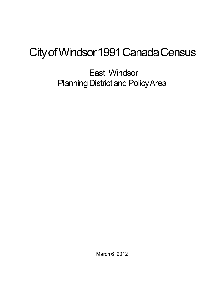## City of Windsor 1991 Canada Census

East Windsor Planning District and Policy Area

March 6, 2012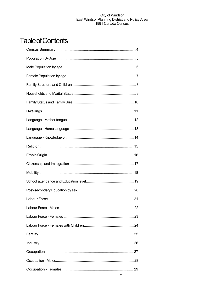## **Table of Contents**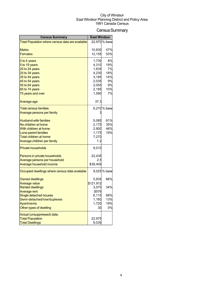## Census Summary

| <b>Census Summary</b>                            | <b>East Windsor</b> |               |
|--------------------------------------------------|---------------------|---------------|
| Total Population where census data are available |                     | 22,970 % base |
|                                                  |                     |               |
| <b>Males</b>                                     | 10,830              | 47%           |
| <b>Females</b>                                   | 12,155              | 53%           |
| 0 to 4 years                                     | 1,730               | 8%            |
| 5 to 19 years                                    | 4,310               | 19%           |
| 20 to 24 years                                   | 1,635               | 7%            |
| 25 to 34 years                                   | 4,230               | 18%           |
| 35 to 44 years                                   | 3,185               | 14%           |
| 45 to 54 years                                   | 2,035               | 9%            |
| 55 to 64 years                                   | 2,055               | 9%            |
| 65 to 74 years                                   | 2,185               | 10%           |
| 75 years and over                                | 1,590               | 7%            |
| Average age                                      | 37.3                |               |
| <b>Total census families</b>                     |                     | 6,270 % base  |
| Average persons per family                       |                     |               |
| <b>Husband-wife families</b>                     | 5,085               | 81%           |
| No children at home                              | 2,175               | 35%           |
| With children at home                            | 2,900               | 46%           |
| Lone-parent families                             | 1,175               | 19%           |
| Total children at home                           | 7,270               |               |
| Average children per family                      | 1.2                 |               |
| <b>Private households</b>                        | 9,010               |               |
| Persons in private households                    | 22,435              |               |
| Average persons per household                    | 2.5                 |               |
| Average household income                         | \$39,409            |               |
| Occupied dwellings where census data available   |                     | 9,025 % base  |
| <b>Owned dwellings</b>                           | 5,935               | 66%           |
| <b>Average value</b>                             | \$121,912           |               |
| <b>Rented dwellings</b>                          | 3,070               | 34%           |
| Average rent                                     | \$576               |               |
| Single detached houses                           | 6,115               | 68%           |
| Semi-detached/row/duplexes                       | 1,160               | 13%           |
| <b>Apartments</b>                                | 1,720               | 19%           |
| Other types of dwelling                          | 30                  | 0%            |
| Actual (unsuppressed) data:                      |                     |               |
| <b>Total Population</b>                          | 22,975              |               |
| <b>Total Dwellings</b>                           | 9,039               |               |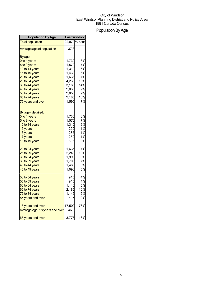## Population By Age

| <b>Population By Age</b>       | <b>East Windsor</b> |               |
|--------------------------------|---------------------|---------------|
| <b>Total population</b>        |                     | 22,970 % base |
| Average age of population      | 37.3                |               |
| By age:                        |                     |               |
| 0 to 4 years                   | 1,730               | 8%            |
| 5 to 9 years                   | 1,570               | 7%            |
| 10 to 14 years                 | 1,310               | 6%            |
| 15 to 19 years                 | 1,430               | 6%            |
| 20 to 24 years                 | 1,635               | 7%            |
| 25 to 34 years                 | 4,230               | 18%           |
| 35 to 44 years                 | 3,185               | 14%           |
| 45 to 54 years                 | 2,035               | 9%            |
| 55 to 64 years                 | 2,055               | 9%            |
| 65 to 74 years                 | 2,185               | 10%           |
| 75 years and over              | 1,590               | 7%            |
|                                |                     |               |
| By age - detailed:             |                     |               |
| 0 to 4 years                   | 1,730               | 8%            |
| 5 to 9 years                   | 1,570               | 7%            |
| 10 to 14 years                 | 1,310               | 6%            |
| 15 years                       | 290                 | 1%            |
| 16 years                       | 285                 | 1%            |
| 17 years                       | 250                 | 1%            |
| 18 to 19 years                 | 605                 | 3%            |
| 20 to 24 years                 | 1,635               | 7%            |
| 25 to 29 years                 | 2,240               | 10%           |
| 30 to 34 years                 | 1,990               | 9%            |
| 35 to 39 years                 | 1,705               | 7%            |
| 40 to 44 years                 | 1,480               | 6%            |
| 45 to 49 years                 | 1,090               | 5%            |
| 50 to 54 years                 | 945                 | 4%            |
| 55 to 59 years                 | 945                 | 4%            |
| 60 to 64 years                 | 1,110               | 5%            |
| 65 to 74 years                 | 2,185               | 10%           |
| 75 to 84 years                 | 1,145               | 5%            |
| 85 years and over              | 445                 | 2%            |
| 18 years and over              | 17,500              | 76%           |
| Average age, 18 years and over | 46.3                |               |
| 65 years and over              | 3,775               | 16%           |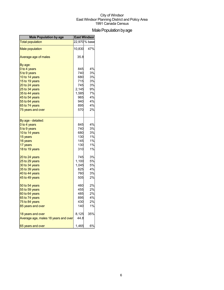## Male Population by age

| <b>Male Population by age</b>        | East Windsor |               |
|--------------------------------------|--------------|---------------|
| <b>Total population</b>              |              | 22,970 % base |
| <b>Male population</b>               | 10,830       | 47%           |
| Average age of males                 | 35.8         |               |
| By age:                              |              |               |
| 0 to 4 years                         | 845          | 4%            |
| 5 to 9 years                         | 740          | 3%            |
| 10 to 14 years                       | 680          | 3%            |
| 15 to 19 years                       | 715          | 3%            |
| 20 to 24 years                       | 745          | 3%            |
| 25 to 34 years                       | 2,145        | 9%            |
| 35 to 44 years                       | 1,585        | 7%            |
| 45 to 54 years                       | 965          | 4%            |
| 55 to 64 years                       | 940          | 4%            |
| 65 to 74 years                       | 895          | 4%            |
| 75 years and over                    | 570          | 2%            |
| By age - detailed:                   |              |               |
| 0 to 4 years                         | 845          | 4%            |
| 5 to 9 years                         | 740          | 3%            |
| 10 to 14 years                       | 680          | 3%            |
| 15 years                             | 130          | 1%            |
| 16 years                             | 145          | 1%            |
| 17 years                             | 130          | 1%            |
| 18 to 19 years                       | 310          | 1%            |
| 20 to 24 years                       | 745          | 3%            |
| 25 to 29 years                       | 1,100        | 5%            |
| 30 to 34 years                       | 1,045        | 5%            |
| 35 to 39 years                       | 825          | 4%            |
| 40 to 44 years                       | 760          | 3%            |
| 45 to 49 years                       | 505          | 2%            |
| 50 to 54 years                       | 460          | 2%            |
| 55 to 59 years                       | 455          | 2%            |
| 60 to 64 years                       | 485          | 2%            |
| 65 to 74 years                       | 895          | 4%            |
| 75 to 84 years                       | 430          | 2%            |
| 85 years and over                    | 140          | 1%            |
| 18 years and over                    | 8,125        | 35%           |
| Average age, males 18 years and over | 44.8         |               |
| 65 years and over                    | 1,465        | 6%            |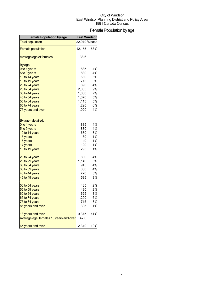## Female Population by age

| <b>Female Population by age</b>        | East Windsor |               |
|----------------------------------------|--------------|---------------|
| <b>Total population</b>                |              | 22,970 % base |
| <b>Female population</b>               | 12,155       | 53%           |
| Average age of females                 | 38.6         |               |
| By age:                                |              |               |
| 0 to 4 years                           | 885          | 4%            |
| 5 to 9 years                           | 830          | 4%            |
| 10 to 14 years                         | 630          | 3%            |
| 15 to 19 years                         | 715          | 3%            |
| 20 to 24 years                         | 890          | 4%            |
| 25 to 34 years                         | 2,085        | 9%            |
| 35 to 44 years                         | 1,600        | 7%            |
| 45 to 54 years                         | 1,070        | 5%            |
| 55 to 64 years                         | 1,115        | 5%            |
| 65 to 74 years                         | 1,290        | 6%            |
| 75 years and over                      | 1,020        | 4%            |
| By age - detailed:                     |              |               |
| 0 to 4 years                           | 885          | 4%            |
| 5 to 9 years                           | 830          | 4%            |
| 10 to 14 years                         | 630          | 3%            |
| 15 years                               | 160          | 1%            |
| 16 years                               | 140          | 1%            |
| 17 years                               | 120          | 1%            |
| 18 to 19 years                         | 295          | 1%            |
| 20 to 24 years                         | 890          | 4%            |
| 25 to 29 years                         | 1,140        | 5%            |
| 30 to 34 years                         | 945          | 4%            |
| 35 to 39 years                         | 880          | 4%            |
| 40 to 44 years                         | 720          | 3%            |
| 45 to 49 years                         | 585          | 3%            |
| 50 to 54 years                         | 485          | 2%            |
| 55 to 59 years                         | 490          | 2%            |
| 60 to 64 years                         | 625          | 3%            |
| 65 to 74 years                         | 1,290        | 6%            |
| 75 to 84 years                         | 715          | 3%            |
| 85 years and over                      | 305          | 1%            |
| 18 years and over                      | 9,375        | 41%           |
| Average age, females 18 years and over | 47.6         |               |
| 65 years and over                      | 2,310        | 10%           |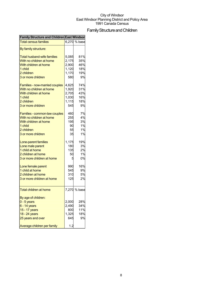## Family Structure and Children

| <b>Family Structure and Children East Windson</b> |       |              |
|---------------------------------------------------|-------|--------------|
| <b>Total census families</b>                      |       | 6,270 % base |
| By family structure:                              |       |              |
| <b>Total husband-wife families</b>                | 5,085 | 81%          |
| With no children at home                          | 2,175 | 35%          |
| With children at home                             | 2,900 | 46%          |
| 1 child                                           | 1,120 | 18%          |
| 2 children                                        | 1,170 | 19%          |
| 3 or more children                                | 580   | 9%           |
|                                                   |       |              |
| Families - now-married couples                    | 4,625 | 74%          |
| With no children at home                          | 1,920 | 31%          |
| With children at home                             | 2,705 | 43%          |
| 1 child                                           | 1,030 | 16%          |
| 2 children                                        | 1,115 | 18%          |
| 3 or more children                                | 545   | 9%           |
| Families - common-law couples                     | 460   | 7%           |
| With no children at home                          | 255   | 4%           |
| With children at home                             |       | 3%           |
|                                                   | 195   |              |
| 1 child                                           | 90    | 1%           |
| 2 children                                        | 55    | 1%           |
| 3 or more children                                | 35    | 1%           |
| Lone-parent families                              | 1,175 | 19%          |
| Lone male parent                                  | 180   | 3%           |
| 1 child at home                                   | 135   | 2%           |
| 2 children at home                                | 50    | 1%           |
| 3 or more children at home                        | 5     | 0%           |
|                                                   | 990   | 16%          |
| Lone female parent                                |       |              |
| 1 child at home                                   | 545   | 9%           |
| 2 children at home                                | 310   | 5%           |
| 3 or more children at home                        | 125   | 2%           |
| <b>Total children at home</b>                     |       | 7,270 % base |
| By age of children:                               |       |              |
| $0 - 5$ years                                     | 2,000 | 28%          |
|                                                   |       | 34%          |
| $6 - 14$ years                                    | 2,490 |              |
| 15 - 17 years                                     | 800   | 11%          |
| 18 - 24 years                                     | 1,325 | 18%          |
| 25 years and over                                 | 645   | 9%           |
| Average children per family                       | 1.2   |              |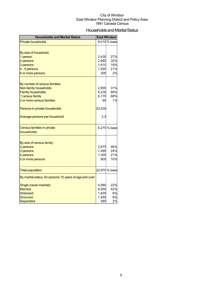## Households and Marital Status

| <b>Households and Marital Status</b>                     |                | <b>East Windsor</b> |
|----------------------------------------------------------|----------------|---------------------|
| Private households                                       |                | 9,010 % base        |
|                                                          |                |                     |
| By size of household:                                    |                |                     |
| 1 person                                                 | 2,430          | 27%                 |
| 2 persons                                                | 2,860          | 32%                 |
| 3 persons                                                | 1,610          | 18%                 |
| 4 - 5 persons                                            | 1,920          | 21%                 |
| 6 or more persons                                        | 205            | 2%                  |
|                                                          |                |                     |
| By number of census families:<br>Non-family households   | 2,800          | 31%                 |
| <b>Family households</b>                                 | 6,230          | 69%                 |
| 1 census family                                          | 6,170          | 68%                 |
| 2 or more census families                                | 60             | 1%                  |
|                                                          |                |                     |
| Persons in private households                            | 22,435         |                     |
| Average persons per household                            | 2.5            |                     |
| Census families in private                               |                | 6,270 % base        |
| households                                               |                |                     |
|                                                          |                |                     |
| By size of census family:                                |                |                     |
| 2 persons<br>3 persons                                   | 2,875<br>1,495 | 46%<br>24%          |
| 4 persons                                                | 1,305          | 21%                 |
| 5 or more persons                                        | 605            | 10%                 |
|                                                          |                |                     |
| <b>Total population</b>                                  |                | 22,970 % base       |
| By marital status, for persons 15 years of age and over: |                |                     |
| Single (never married)                                   | 4,960          | 22%                 |
| <b>Married</b>                                           | 9,555          | 42%                 |
| Widowed                                                  | 1,835          | 8%                  |
| <b>Divorced</b>                                          | 1,455          | 6%                  |
| Separated                                                | 565            | 2%                  |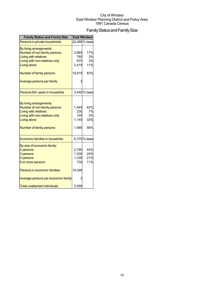## Family Status and Family Size

| <b>Family Status and Family Size</b>                                                                                                                                  |                                       | East Windsor                  |
|-----------------------------------------------------------------------------------------------------------------------------------------------------------------------|---------------------------------------|-------------------------------|
| Persons in private households                                                                                                                                         |                                       | 22,485 % base                 |
| By living arrangements:<br>Number of non-family persons<br><b>Living with relatives</b>                                                                               | 3,865<br>760                          | 17%<br>3%                     |
|                                                                                                                                                                       | 675                                   | 3%                            |
| Living with non-relatives only<br><b>Living alone</b>                                                                                                                 | 2,415                                 | 11%                           |
| Number of family persons                                                                                                                                              | 18,615                                | 83%                           |
| Average persons per family                                                                                                                                            |                                       |                               |
| Persons 65+ years in househlds                                                                                                                                        |                                       | 3,440 % base                  |
| By living arrangements:<br>Number of non-family persons<br><b>Living with relatives</b><br>Living with non-relatives only<br>Living alone<br>Number of family persons | 1,445<br>230<br>105<br>1,145<br>1,995 | 42%<br>7%<br>3%<br>33%<br>58% |
| Economic families in househlds                                                                                                                                        |                                       | 6,370 % base                  |
| By size of economic family:<br>2 persons<br>3 persons<br>4 persons<br>5 or more persons                                                                               | 2,790<br>1,530<br>1,335<br>730        | 44%<br>24%<br>21%<br>11%      |
| Persons in economic families                                                                                                                                          | 19,390                                |                               |
| Average persons per economic family                                                                                                                                   |                                       |                               |
| <b>Total unattached individuals</b>                                                                                                                                   | 3,095                                 |                               |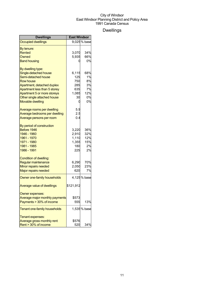## Dwellings

| <b>Dwellings</b>                  | <b>East Windsor</b> |             |
|-----------------------------------|---------------------|-------------|
| <b>Occupied dwellings</b>         |                     | 9,025% base |
| By tenure:                        |                     |             |
| Rented                            | 3,070               | 34%         |
| Owned                             | 5,935               | 66%         |
| <b>Band housing</b>               |                     | 0%          |
| By dwelling type:                 |                     |             |
| Single-detached house             | 6,115               | 68%         |
| Semi-detached house               | 125                 | 1%          |
| <b>Row house</b>                  | 750                 | 8%          |
| Apartment, detached duplex        | 285                 | 3%          |
| Apartment less than 5 storey      | 635                 | 7%          |
| Apartment 5 or more storeys       | 1,085               | 12%         |
| Other single attached house       | 30                  | 0%          |
| <b>Movable dwelling</b>           | 0                   | 0%          |
| Average rooms per dwelling        | 5.9                 |             |
| Average bedrooms per dwelling     | $2.5\,$             |             |
| Average persons per room          | 0.4                 |             |
| By period of construction         |                     |             |
| Before 1946                       | 3,220               | 36%         |
| 1946 - 1960                       | 2,910               | 32%         |
| 1961 - 1970                       | 1,110               | 12%         |
| 1971 - 1980                       | 1,355               | 15%         |
| 1981 - 1985                       | 180                 | 2%          |
| 1986 - 1991                       | 225                 | 2%          |
| <b>Condition of dwelling:</b>     |                     |             |
| Regular maintenance               | 6,290               | 70%         |
| Minor repairs needed              | 2,050               | 23%         |
| <b>Major repairs needed</b>       | 620                 | 7%          |
| Owner one-family households       |                     | 4,125% base |
| <b>Average value of dwellings</b> | \$121,912           |             |
| Owner expenses:                   |                     |             |
| Average major monthly payments    | \$573               |             |
| Payments > 30% of income          | 555                 | 13%         |
| Tenant one-family households      |                     | 1,535% base |
| Tenant expenses:                  |                     |             |
| Average gross monthly rent        | \$576               |             |
| Rent > 30% of income              | 520                 | 34%         |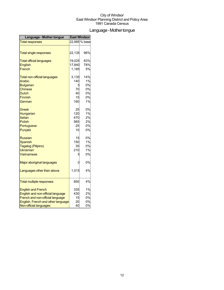## Language - Mother tongue

| Language - Mother tongue            | <b>East Windsor</b> |               |
|-------------------------------------|---------------------|---------------|
| <b>Total responses</b>              |                     | 22,985 % base |
|                                     |                     |               |
| <b>Total single responses</b>       | 22,135              | 96%           |
| <b>Total official languages</b>     | 19,025              | 83%           |
| <b>English</b>                      | 17,840              | 78%           |
| French                              | 1,185               | 5%            |
| <b>Total non-official languages</b> | 3,135               | 14%           |
| <b>Arabic</b>                       | 140                 | 1%            |
| <b>Bulgarian</b>                    | 5                   | 0%            |
| <b>Chinese</b>                      | 70                  | 0%            |
| <b>Dutch</b>                        | 40                  | 0%            |
| <b>Finnish</b>                      | 15                  | 0%            |
| German                              | 160                 | 1%            |
| Greek                               | 25                  | 0%            |
| Hungarian                           | 120                 | 1%            |
| Italian                             | 470                 | 2%            |
| <b>Polish</b>                       | 565                 | 2%            |
| Portuguese                          | 25                  | 0%            |
| Punjabi                             | 10                  | 0%            |
| <b>Russian</b>                      | 15                  | 0%            |
| <b>Spanish</b>                      | 150                 | 1%            |
| Tagalog (Pilipino)                  | 35                  | 0%            |
| <b>Ukrainian</b>                    | 210                 | 1%            |
| Vietnamese                          | 5                   | 0%            |
| Major aboriginal languages          | 0                   | 0%            |
| Languages other than above          | 1,015               | 4%            |
| <b>Total multiple responses</b>     | 850                 | 4%            |
|                                     |                     |               |
| <b>English and French</b>           | 335                 | 1%            |
| English and non-official language   | 430                 | 2%            |
| French and non-official language    | 15                  | 0%            |
| English, French and other language  | 20                  | 0%            |
| Non-official languages              | 40                  | 0%            |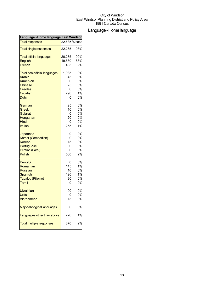## Language-Homelanguage

| <b>Total responses</b>              |        | 22,635 % base |
|-------------------------------------|--------|---------------|
| <b>Total single responses</b>       | 22,265 | 98%           |
| <b>Total official languages</b>     | 20,285 | 90%           |
| <b>English</b>                      | 19,880 | 88%           |
| French                              | 405    | 2%            |
| <b>Total non-official languages</b> | 1,935  | 9%            |
| <b>Arabic</b>                       | 45     | 0%            |
| Armenian                            |        | 0%            |
| <b>Chinese</b>                      | 25     | 0%            |
| <b>Creoles</b>                      |        | 0%            |
| Croatian                            | 290    | 1%            |
| <b>Dutch</b>                        | C      | 0%            |
| German                              | 25     | 0%            |
| Greek                               | 10     | 0%            |
| Gujarati                            |        | 0%            |
| Hungarian                           | 20     | 0%            |
| Hindi                               |        | 0%            |
| Italian                             | 255    | 1%            |
| Japanese                            |        | 0%            |
| Khmer (Cambodian)                   |        | 0%            |
| Korean                              | 15     | 0%            |
| Portuguese                          | C      | 0%            |
| Persian (Farsi)                     |        | 0%            |
| <b>Polish</b>                       | 560    | 2%            |
| Punjabi                             |        | 0%            |
| Romanian                            | 145    | 1%            |
| <b>Russian</b>                      | 10     | 0%            |
| Spanish                             | 190    | 1%            |
| Tagalog (Pilipino)                  | 30     | 0%            |
| Tamil                               | C      | 0%            |
| Ukrainian                           | 90     | 0%            |
| Urdu                                |        | 0%            |
| Vietnamese                          | 15     | 0%            |
| Major aboriginal languages          |        | 0%            |
| Languages other than above          | 22C    | 1%            |
| <b>Total multiple responses</b>     | 37C    | 2%            |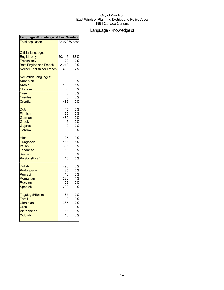## Language - Knowledge of

| Language - Knowledge of East Windsor                                                                  |                                      |                                  |  |
|-------------------------------------------------------------------------------------------------------|--------------------------------------|----------------------------------|--|
| <b>Total population</b>                                                                               |                                      | 22,970 % base                    |  |
| <b>Official languages:</b><br><b>English only</b><br><b>French only</b>                               | 20,115<br>20                         | 88%<br>0%                        |  |
| <b>Both English and French</b>                                                                        | 2,040                                | 9%                               |  |
| <b>Neither English nor French</b>                                                                     | 430                                  | 2%                               |  |
| Non-official languages:<br>Armenian<br>Arabic<br><b>Chinese</b><br>Cree<br><b>Creoles</b><br>Croatian | 190<br>55<br>C<br>485                | 0%<br>1%<br>0%<br>0%<br>0%<br>2% |  |
| Dutch<br><b>Finnish</b><br>German<br>Greek<br>Gujarati<br><b>Hebrew</b>                               | 45<br>30<br>430<br>45<br>C<br>C      | 0%<br>0%<br>2%<br>0%<br>0%<br>0% |  |
| Hindi<br>Hungarian<br><b>Italian</b><br>Japanese<br>Korean<br>Persian (Farsi)                         | 25<br>115<br>665<br>10<br>30<br>10   | 0%<br>1%<br>3%<br>0%<br>0%<br>0% |  |
| <b>Polish</b><br>Portuguese<br>Punjabi<br>Romanian<br><b>Russian</b><br>Spanish                       | 795<br>35<br>10<br>280<br>105<br>290 | 3%<br>0%<br>0%<br>1%<br>0%<br>1% |  |
| Tagalog (Pilipino)<br>Tamil<br>Ukrainian<br>Urdu<br>Vietnamese<br>Yiddish                             | 85<br>ſ<br>365<br>15<br>10           | 0%<br>0%<br>2%<br>0%<br>0%<br>0% |  |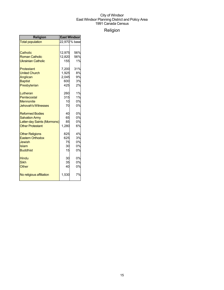## Religion

| <b>Religion</b>             | <b>East Windsor</b> |               |
|-----------------------------|---------------------|---------------|
| <b>Total population</b>     |                     | 22,970 % base |
|                             |                     |               |
| Catholic                    | 12,975              | 56%           |
| <b>Roman Catholic</b>       | 12,820              | 56%           |
| <b>Ukrainian Catholic</b>   | 155                 | 1%            |
| Protestant                  | 7,200               | 31%           |
| <b>United Church</b>        | 1,925               | 8%            |
| Anglican                    | 2,045               | 9%            |
| <b>Baptist</b>              | 600                 | 3%            |
| Presbyterian                | 425                 | 2%            |
| Lutheran                    | 260                 | 1%            |
| Pentecostal                 | 315                 | 1%            |
| <b>Mennonite</b>            | 10                  | 0%            |
| <b>Jehovah's Witnesses</b>  | 70                  | 0%            |
| <b>Reformed Bodies</b>      | 40                  | 0%            |
| <b>Salvation Army</b>       | 65                  | 0%            |
| Latter-day Saints (Mormons) | 85                  | 0%            |
| <b>Other Protestant</b>     | 1,280               | 6%            |
| <b>Other Religions</b>      | 825                 | 4%            |
| <b>Eastern Orthodox</b>     | 625                 | 3%            |
| Jewish                      | 75                  | 0%            |
| Islam                       | 30                  | 0%            |
| <b>Buddhist</b>             | 15                  | 0%            |
| <b>Hindu</b>                | 30                  | 0%            |
| <b>Sikh</b>                 | 35                  | 0%            |
| Other                       | 40                  | 0%            |
| No religious affiliation    | 1,530               | 7%            |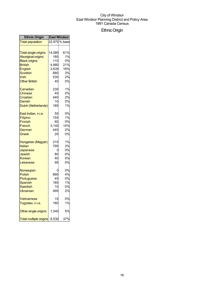## EthnicOrigin

| <b>Ethnic Origin</b>                                                 | <b>East Windsor</b>           |                                  |
|----------------------------------------------------------------------|-------------------------------|----------------------------------|
| <b>Total population</b>                                              |                               | 22,970 % base                    |
| <b>Total single origins</b>                                          | 14,085                        | 61%                              |
| <b>Aboriginal origins</b>                                            | 185                           | 1%                               |
| <b>Black origins</b>                                                 | 110                           | 0%                               |
| <b>British</b>                                                       | 4,880                         | 21%                              |
| English                                                              | 3,635                         | 16%                              |
| Scottish                                                             | 680                           | 3%                               |
| Irish                                                                | 530                           | 2%                               |
| <b>Other British</b>                                                 | 40                            | 0%                               |
| Canadian                                                             | 230                           | 1%                               |
| Chinese                                                              | 45                            | 0%                               |
| Croatian                                                             | 440                           | 2%                               |
| Danish                                                               | 10                            | 0%                               |
| Dutch (Netherlands)                                                  | 185                           | 1%                               |
| East Indian, n.i.e.                                                  | 55                            | 0%                               |
| <b>Filipino</b>                                                      | 155                           | 1%                               |
| Finnish                                                              | 60                            | 0%                               |
| French                                                               | 3,140                         | 14%                              |
| German                                                               | 445                           | 2%                               |
| Greek                                                                | 20                            | 0%                               |
| Hungarian (Magyar)                                                   | 215                           | 1%                               |
| Italian                                                              | 795                           | 3%                               |
| Japanese                                                             | 0                             | 0%                               |
| Jewish                                                               | 80                            | 0%                               |
| Korean                                                               | 40                            | 0%                               |
| Lebanese                                                             | 95                            | 0%                               |
| Norwegian<br>Polish<br>Portuguese<br>Spanish<br>Swedish<br>Ukrainian | 890<br>45<br>185<br>10<br>495 | 0%<br>4%<br>0%<br>1%<br>0%<br>2% |
| Vietnamese                                                           | 15                            | 0%                               |
| Yugoslav, n.i.e.                                                     | 160                           | 1%                               |
| Other single origins                                                 | 1,040                         | 5%                               |
| <b>Total multiple origins</b>                                        | 8,530                         | 37%                              |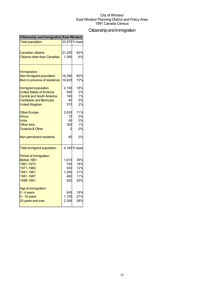## Citizenship and Immigration

| <b>Citizenship and Immigration East Windsor</b> |        |               |  |
|-------------------------------------------------|--------|---------------|--|
| <b>Total population</b>                         |        | 22,970 % base |  |
|                                                 |        |               |  |
| <b>Canadian citizens</b>                        | 21,205 | 92%           |  |
| <b>Citizens other than Canadian</b>             | 1,390  | 6%            |  |
|                                                 |        |               |  |
| Immigration:<br>Non-immigrant population        | 18,390 | 80%           |  |
| Born in province of residence                   | 16,625 | 72%           |  |
|                                                 |        |               |  |
| Immigrant population                            | 4,190  | 18%           |  |
| <b>United States of America</b>                 | 450    | 2%            |  |
| <b>Central and South America</b>                | 180    | 1%            |  |
| Caribbean and Bermuda                           | 40     | 0%            |  |
| <b>United Kingdom</b>                           | 570    | 2%            |  |
| <b>Other Europe</b>                             | 2,630  | 11%           |  |
| Africa                                          | 10     | 0%            |  |
| India                                           | 45     | 0%            |  |
| <b>Other Asia</b>                               | 300    | 1%            |  |
| Oceania & Other                                 |        | 0%            |  |
| Non-permanent residents                         | 80     | 0%            |  |
| <b>Total immigrant population</b>               |        | 4,160 % base  |  |
| Period of immigration:                          |        |               |  |
| Before 1961                                     | 1,610  | 39%           |  |
| 1961-1970                                       | 745    | 18%           |  |
| 1971-1980                                       | 500    | 12%           |  |
| 1981-1991                                       | 1,290  | 31%           |  |
| 1981-1987                                       | 460    | 11%           |  |
| 1988-1991                                       | 820    | 20%           |  |
| Age at immigration:                             |        |               |  |
| $0 - 4$ years                                   | 645    | 16%           |  |
| 5 - 19 years                                    | 1,105  | 27%           |  |
| 20 years and over                               | 2,395  | 58%           |  |
|                                                 |        |               |  |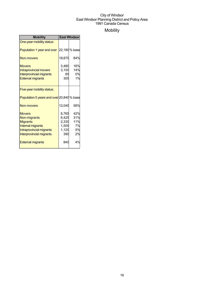## Mobility

| <b>Mobility</b>                           | <b>East Windsor</b> |              |
|-------------------------------------------|---------------------|--------------|
| One-year mobility status:                 |                     |              |
| Population 1 year and over                |                     | 22,180% base |
| Non-movers                                | 18,670              | 84%          |
| <b>Movers</b>                             | 3,480               | 16%          |
| <b>Intraprovincial movers</b>             | 3,100               | 14%          |
| <b>Interprovincial migrants</b>           | 85                  | 0%           |
| <b>External migrants</b>                  | 305                 | 1%           |
|                                           |                     |              |
| Five-year mobility status:                |                     |              |
| Population 5 years and over 20,840 % base |                     |              |
| Non-movers                                | 12,045              | 58%          |
| <b>Movers</b>                             | 8,765               | 42%          |
| Non-migrants                              | 6,425               | 31%          |
| <b>Migrants</b>                           | 2,330               | 11%          |
| Internal migrants                         | 1,505               | 7%           |
| Intraprovincial migrants                  | 1,120               | 5%           |
| Interprovincial migrants                  | 390                 | 2%           |
| <b>External migrants</b>                  | 840                 | 4%           |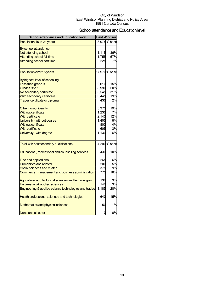## School attendance and Education level

| <b>School attendance and Education level</b>          |       | East Windsor  |
|-------------------------------------------------------|-------|---------------|
| Population 15 to 24 years                             |       | 3,075 % base  |
| By school attendance:                                 |       |               |
| Not attending school                                  | 1,115 | 36%           |
| Attending school full time                            | 1,755 | 57%           |
| Attending school part time                            | 225   | 7%            |
| Population over 15 years                              |       | 17,970 % base |
| By highest level of schooling:                        |       |               |
| Less than grade 9                                     | 2,610 | 15%           |
| Grades 9 to 13                                        | 8,990 | 50%           |
| No secondary certificate                              | 5,545 | 31%           |
| With secondary certificate                            | 3,445 | 19%           |
| Trades certificate or diploma                         | 430   | 2%            |
| Other non-university                                  | 3,375 | 19%           |
| <b>Without certificate</b>                            | 1,230 | 7%            |
| <b>With certificate</b>                               | 2,145 | 12%           |
| University - without degree                           | 1,405 | 8%            |
| <b>Without certificate</b>                            | 800   | 4%            |
| <b>With certificate</b>                               | 605   | 3%            |
| University - with degree                              | 1,130 | 6%            |
| Total with postsecondary qualifications               |       | 4,290 % base  |
| Educational, recreational and counselling services    | 430   | 10%           |
| Fine and applied arts                                 | 265   | 6%            |
| <b>Humanities and related</b>                         | 200   | 5%            |
| Social sciences and related                           | 375   | 9%            |
| Commerce, management and business administration      | 775   | 18%           |
| Agricultural and biological sciences and technologies | 130   | 3%            |
| Engineering & applied sciences                        | 140   | 3%            |
| Engineering & applied science technologies and trades | 1,185 | 28%           |
| Health professions, sciences and technologies         | 640   | 15%           |
| Mathematics and physical sciences                     | 50    | 1%            |
| None and all other                                    | 0     | 0%            |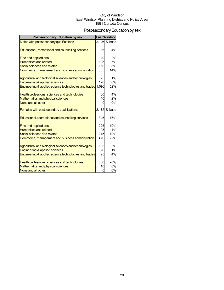## Post-secondary Education by sex

| <b>Post-secondary Education by sex</b>                |          | <b>East Windsor</b> |
|-------------------------------------------------------|----------|---------------------|
| Males with postsecondary qualifications               |          | 2,105 % base        |
|                                                       |          |                     |
| Educational, recreational and counselling services    | 85       | 4%                  |
| Fine and applied arts                                 | 40       | 2%                  |
| <b>Humanities and related</b>                         | 105      | 5%                  |
| Social sciences and related                           | 160      | 8%                  |
| Commerce, management and business administration      | 305      | 14%                 |
| Agricultural and biological sciences and technologies | 25       | 1%                  |
| Engineering & applied sciences                        | 120      | 6%                  |
| Engineering & applied science technologies and trades | 1,090    | 52%                 |
| Health professions, sciences and technologies         | 80       | 4%                  |
| Mathematics and physical sciences                     | 40       | 2%                  |
| None and all other                                    | O        | 0%                  |
| Females with postsecondary qualifications             |          | 2,185 % base        |
| Educational, recreational and counselling services    | 345      | 16%                 |
| Fine and applied arts                                 | 225      | 10%                 |
| <b>Humanities and related</b>                         | 95       | 4%                  |
| Social sciences and related                           | 215      | 10%                 |
| Commerce, management and business administration      | 470      | 22%                 |
| Agricultural and biological sciences and technologies | 105      | 5%                  |
| Engineering & applied sciences                        | 20       | 1%                  |
| Engineering & applied science technologies and trades | 95       | 4%                  |
| Health professions, sciences and technologies         | 560      | 26%                 |
| Mathematics and physical sciences                     | 10       | 0%                  |
| None and all other                                    | $\Omega$ | 0%                  |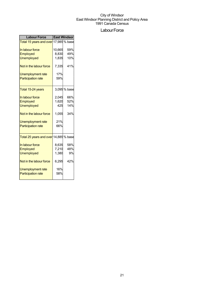### Labour Force

| <b>Labour Force</b>                   | <b>East Windsor</b> |              |  |
|---------------------------------------|---------------------|--------------|--|
| Total 15 years and over 17,985 % base |                     |              |  |
| In labour force                       | 10,665              | 59%          |  |
| <b>Employed</b>                       | 8,830               | 49%          |  |
| <b>Unemployed</b>                     | 1,835               | 10%          |  |
| Not in the labour force               | 7,335               | 41%          |  |
| <b>Unemployment rate</b>              | 17%                 |              |  |
| <b>Participation rate</b>             | 59%                 |              |  |
| Total 15-24 years                     |                     | 3,095 % base |  |
| In labour force                       | 2.045               | 66%          |  |
| Employed                              | 1,620               | 52%          |  |
| <b>Unemployed</b>                     | 425                 | 14%          |  |
| Not in the labour force               | 1,055               | 34%          |  |
| <b>Unemployment rate</b>              | 21%                 |              |  |
| <b>Participation rate</b>             | 66%                 |              |  |
| Total 25 years and over 14,885 % base |                     |              |  |
| In labour force                       | 8,635               | 58%          |  |
| Employed                              | 7,210               | 48%          |  |
| <b>Unemployed</b>                     | 1,380               | 9%           |  |
| Not in the labour force               | 6,295               | 42%          |  |
| Unemployment rate                     | 16%                 |              |  |
| <b>Participation rate</b>             | 58%                 |              |  |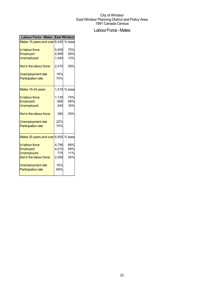## Labour Force - Males

| Labour Force - Males East Windson    |       |              |  |
|--------------------------------------|-------|--------------|--|
| Males 15 years and over 8,420 % base |       |              |  |
| In labour force                      | 5,935 | 70%          |  |
| Employed                             | 4,895 | 58%          |  |
| <b>Unemployed</b>                    | 1,040 | 12%          |  |
| Not in the labour force              | 2,470 | 29%          |  |
| <b>Unemployment rate</b>             | 18%   |              |  |
| <b>Participation rate</b>            | 70%   |              |  |
| Males 15-24 years                    |       | 1,515 % base |  |
| In labour force                      | 1,135 | 75%          |  |
| Employed                             | 895   | 59%          |  |
| <b>Unemployed</b>                    | 245   | 16%          |  |
| Not in the labour force              | 380   | 25%          |  |
| <b>Unemployment rate</b>             | 22%   |              |  |
| <b>Participation rate</b>            | 75%   |              |  |
| Males 25 years and over 6,900 % base |       |              |  |
| In labour force                      | 4,790 | 69%          |  |
| Employed                             | 4,010 | 58%          |  |
| <b>Unemployed</b>                    | 775   | 11%          |  |
| Not in the labour force              | 2,095 | 30%          |  |
| Unemployment rate                    | 16%   |              |  |
| <b>Participation rate</b>            | 69%   |              |  |
|                                      |       |              |  |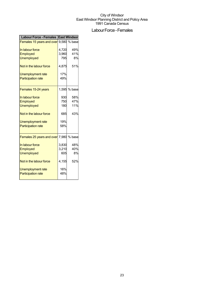## Labour Force - Females

| <b>Labour Force - Females</b>                 | <b>East Windsor</b> |              |
|-----------------------------------------------|---------------------|--------------|
| <b>Females 15 years and over</b> 9,580 % base |                     |              |
| In labour force                               | 4,720               | 49%          |
| <b>Employed</b>                               | 3,960               | 41%          |
| <b>Unemployed</b>                             | 795                 | 8%           |
| Not in the labour force                       | 4,875               | 51%          |
| Unemployment rate                             | 17%                 |              |
| <b>Participation rate</b>                     | 49%                 |              |
| Females 15-24 years                           |                     | 1,595 % base |
| In labour force                               | 930                 | 58%          |
| Employed                                      | 750                 | 47%          |
| <b>Unemployed</b>                             | 180                 | 11%          |
| Not in the labour force                       | 685                 | 43%          |
| Unemployment rate                             | 19%                 |              |
| <b>Participation rate</b>                     | 58%                 |              |
| Females 25 years and over 7,980 % base        |                     |              |
| In labour force                               | 3,830               | 48%          |
| Employed                                      | 3,210               | 40%          |
| <b>Unemployed</b>                             | 605                 | 8%           |
| Not in the labour force                       | 4,155               | 52%          |
| Unemployment rate                             | 16%                 |              |
| <b>Participation rate</b>                     | 48%                 |              |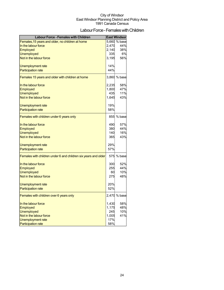## Labour Force - Females with Children

| <b>Labour Force - Females with Children</b>                    |       | <b>East Windsor</b> |
|----------------------------------------------------------------|-------|---------------------|
| Females, 15 years and older, no children at home               |       | 5,660 % base        |
| In the labour force                                            | 2,470 | 44%                 |
| <b>Employed</b>                                                | 2,140 | 38%                 |
| Unemployed                                                     | 335   | 6%                  |
| Not in the labour force                                        | 3,195 | 56%                 |
|                                                                |       |                     |
| Unemployment rate                                              | 14%   |                     |
| <b>Participation rate</b>                                      | 44%   |                     |
| Females 15 years and older with children at home               |       | 3,860 % base        |
| In the labour force                                            | 2,235 | 58%                 |
| <b>Employed</b>                                                | 1,800 | 47%                 |
| <b>Unemployed</b>                                              | 435   | 11%                 |
| Not in the labour force                                        | 1,645 | 43%                 |
| Unemployment rate                                              | 19%   |                     |
| <b>Participation rate</b>                                      | 58%   |                     |
|                                                                |       |                     |
| Females with children under 6 years only                       |       | 855 % base          |
| In the labour force                                            | 490   | 57%                 |
| Employed                                                       | 380   | 44%                 |
| <b>Unemployed</b>                                              | 140   | 16%                 |
| Not in the labour force                                        | 365   | 43%                 |
| Unemployment rate                                              | 29%   |                     |
| <b>Participation rate</b>                                      | 57%   |                     |
|                                                                |       |                     |
| Females with children under 6 and children six years and older |       | 575 % base          |
| In the labour force                                            | 300   | 52%                 |
| Employed                                                       | 255   | 44%                 |
| <b>Unemployed</b>                                              | 60    | 10%                 |
| Not in the labour force                                        | 275   | 48%                 |
| Unemployment rate                                              | 20%   |                     |
| <b>Participation rate</b>                                      | 52%   |                     |
| Females with children over 6 years only                        |       | 2,470 % base        |
| In the labour force                                            | 1,430 | 58%                 |
| <b>Employed</b>                                                | 1,175 | 48%                 |
| <b>Unemployed</b>                                              | 245   | 10%                 |
| Not in the labour force                                        | 1,005 | 41%                 |
| <b>Unemployment rate</b>                                       | 17%   |                     |
| <b>Participation rate</b>                                      | 58%   |                     |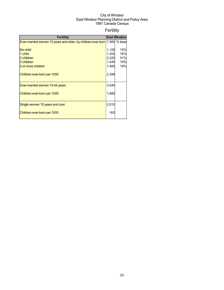## Fertility

| <b>Fertility</b>                                                          |       | <b>East Windsor</b> |
|---------------------------------------------------------------------------|-------|---------------------|
| Ever-married women 15 years and older, by children ever born 7,560 % base |       |                     |
|                                                                           |       |                     |
| No child                                                                  | 1,105 | 15%                 |
| 1 child                                                                   | 1,200 | 16%                 |
| 2 children                                                                | 2,320 | 31%                 |
| 3 children                                                                | 1,445 | 19%                 |
| 4 or more children                                                        | 1,465 | 19%                 |
| Children ever-born per 1000                                               | 2,399 |                     |
| Ever-married women 15-44 years                                            | 3,545 |                     |
| Children ever-born per 1000                                               | 1,682 |                     |
| Single women 15 years and over                                            | 2,010 |                     |
| Children ever-born per 1000                                               | 163   |                     |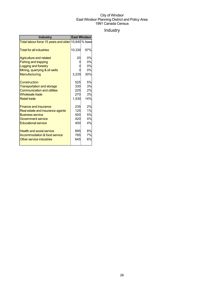## Industry

| <b>Industry</b>                                     | <b>East Windsor</b> |     |
|-----------------------------------------------------|---------------------|-----|
| Total labour force 15 years and older 10,640 % base |                     |     |
| <b>Total for all industries</b>                     | 10,330              | 97% |
| <b>Agriculture and related</b>                      | 20                  | 0%  |
| <b>Fishing and trapping</b>                         |                     | 0%  |
| Logging and forestry                                |                     | 0%  |
| Mining, quarrying & oil wells                       |                     | 0%  |
| Manufacturing                                       | 3,235               | 30% |
| Construction                                        | 525                 | 5%  |
| <b>Transportation and storage</b>                   | 330                 | 3%  |
| <b>Communication and utilities</b>                  | 225                 | 2%  |
| Wholesale trade                                     | 270                 | 3%  |
| <b>Retail trade</b>                                 | 1,530               | 14% |
| <b>Finance and insurance</b>                        | 235                 | 2%  |
| Real estate and insurance agents                    | 125                 | 1%  |
| <b>Business service</b>                             | 500                 | 5%  |
| <b>Government service</b>                           | 420                 | 4%  |
| <b>Educational service</b>                          | 400                 | 4%  |
| <b>Health and social service</b>                    | 895                 | 8%  |
| Accommodation & food service                        | 785                 | 7%  |
| Other service industries                            | 645                 | 6%  |
|                                                     |                     |     |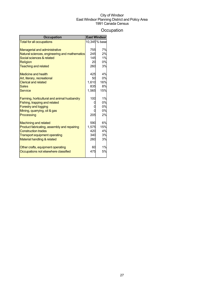## **Occupation**

| <b>Occupation</b>                             |       | East Windsor  |
|-----------------------------------------------|-------|---------------|
| <b>Total for all occupations</b>              |       | 10,345 % base |
|                                               |       |               |
| <b>Managerial and administrative</b>          | 755   | 7%            |
| Natural sciences, engineering and mathematics | 245   | 2%            |
| Social sciences & related                     | 145   | 1%            |
| Religion                                      | 20    | 0%            |
| <b>Teaching and related</b>                   | 260   | 3%            |
| <b>Medicine and health</b>                    | 425   | 4%            |
| Art, literary, recreational                   | 50    | 0%            |
| <b>Clerical and related</b>                   | 1.610 | 16%           |
| <b>Sales</b>                                  | 835   | 8%            |
| Service                                       | 1.565 | 15%           |
| Farming, horticultural and animal husbandry   | 100   | 1%            |
| Fishing, trapping and related                 |       | 0%            |
| <b>Forestry and logging</b>                   |       | 0%            |
| Mining, quarrying, oil & gas                  |       | 0%            |
| Processing                                    | 205   | 2%            |
| <b>Machining and related</b>                  | 590   | 6%            |
| Product fabricating, assembly and repairing   | 1.575 | 15%           |
| <b>Construction trades</b>                    | 420   | 4%            |
| Transport equipment operating                 | 340   | 3%            |
| <b>Material handling &amp; related</b>        | 260   | 3%            |
|                                               |       |               |
| Other crafts, equipment operating             | 60    | 1%            |
| Occupations not elsewhere classified          | 475   | 5%            |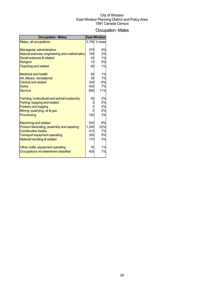## Occupation-Males

| Males, all occupations                        |       |              |
|-----------------------------------------------|-------|--------------|
|                                               |       | 5,795 % base |
|                                               |       |              |
| Managerial, administrative                    | 375   | 6%           |
| Natural sciences, engineering and mathematics | 195   | 3%           |
| Social sciences & related                     | 40    | 1%           |
| <b>Religion</b>                               | 10    | 0%           |
| <b>Teaching and related</b>                   | 60    | 1%           |
| Medicine and health                           | 65    | 1%           |
| Art, literary, recreational                   | 30    | 1%           |
| <b>Clerical and related</b>                   | 345   | 6%           |
| Sales                                         | 420   | 7%           |
| <b>Service</b>                                | 660   | 11%          |
| Farming, horticultural and animal husbandry   | 90    | 2%           |
| Fishing, trapping and related                 |       | 0%           |
| <b>Forestry and logging</b>                   |       | 0%           |
| Mining, quarrying, oil & gas                  |       | 0%           |
| Processing                                    | 160   | 3%           |
| <b>Machining and related</b>                  | 525   | 9%           |
| Product fabricating, assembly and repairing   | 1,290 | 22%          |
| <b>Construction trades</b>                    | 410   | 7%           |
| Transport equipment operating                 | 300   | 5%           |
| Material handling & related                   | 170   | 3%           |
| Other crafts, equipment operating             | 30    | 1%           |
| Occupations not elsewhere classified          | 405   | 7%           |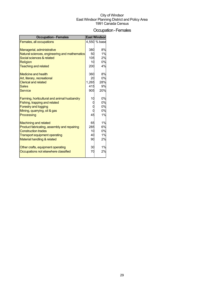## Occupation-Females

| <b>Occupation - Females</b>                   |       | <b>East Windson</b> |
|-----------------------------------------------|-------|---------------------|
| Females, all occupations                      |       | 4,550 % base        |
|                                               |       |                     |
| Managerial, administrative                    | 380   | 8%                  |
| Natural sciences, engineering and mathematics | 50    | 1%                  |
| Social sciences & related                     | 105   | 2%                  |
| Religion                                      | 10    | 0%                  |
| <b>Teaching and related</b>                   | 200   | 4%                  |
| <b>Medicine and health</b>                    | 360   | 8%                  |
| Art, literary, recreational                   | 20    | 0%                  |
| <b>Clerical and related</b>                   | 1,265 | 28%                 |
| <b>Sales</b>                                  | 415   | 9%                  |
| <b>Service</b>                                | 905   | 20%                 |
| Farming, horticultural and animal husbandry   | 10    | 0%                  |
| Fishing, trapping and related                 |       | 0%                  |
| <b>Forestry and logging</b>                   |       | 0%                  |
| Mining, quarrying, oil & gas                  |       | 0%                  |
| Processing                                    | 45    | 1%                  |
|                                               |       |                     |
| <b>Machining and related</b>                  | 65    | 1%                  |
| Product fabricating, assembly and repairing   | 285   | 6%                  |
| <b>Construction trades</b>                    | 10    | 0%                  |
| <b>Transport equipment operating</b>          | 40    | 1%                  |
| Material handling & related                   | 90    | 2%                  |
| Other crafts, equipment operating             | 30    | 1%                  |
| Occupations not elsewhere classified          | 70    | 2%                  |
|                                               |       |                     |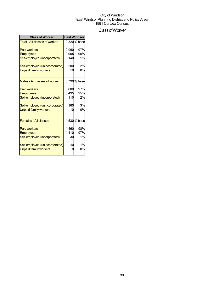## ClassofWorker

| <b>Class of Worker</b>               | <b>East Windsor</b> |               |  |
|--------------------------------------|---------------------|---------------|--|
| <b>Total - All classes of worker</b> |                     | 10,320 % base |  |
| <b>Paid workers</b>                  | 10,060              | 97%           |  |
| <b>Employees</b>                     | 9,905               | 96%           |  |
| Self-employed (incorporated)         | 140                 | 1%            |  |
| Self-employed (unincorporated)       | 200                 | 2%            |  |
| <b>Unpaid family workers</b>         | 10                  | 0%            |  |
| Males - All classes of worker        |                     | 5,790 % base  |  |
| <b>Paid workers</b>                  | 5,600               | 97%           |  |
| <b>Employees</b>                     | 5,495               | 95%           |  |
| Self-employed (incorporated)         | 110                 | 2%            |  |
| Self-employed (unincorporated)       | 160                 | 3%            |  |
| <b>Unpaid family workers</b>         | 10                  | 0%            |  |
| <b>Females - All classes</b>         |                     | 4,530 % base  |  |
| <b>Paid workers</b>                  | 4.460               | 98%           |  |
| <b>Employees</b>                     | 4,410               | 97%           |  |
| Self-employed (incorporated)         | 30                  | 1%            |  |
| Self-employed (unincorporated)       | 40                  | 1%            |  |
| <b>Unpaid family workers</b>         |                     | 0%            |  |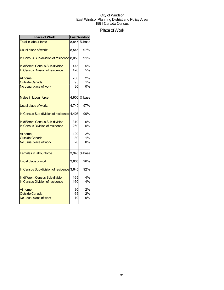## Place of Work

| <b>Place of Work</b>                      |       | <b>East Windson</b> |
|-------------------------------------------|-------|---------------------|
| <b>Total in labour force</b>              |       | 8,845 % base        |
| Usual place of work:                      | 8,545 | 97%                 |
| In Census Sub-division of residence 8,050 |       | 91%                 |
| In different Census Sub-division          | 475   | 5%                  |
| In Census Division of residence           | 420   | 5%                  |
| At home                                   | 200   | 2%                  |
| <b>Outside Canada</b>                     | 95    | 1%                  |
| No usual place of work                    | 30    | 0%                  |
| Males in labour force                     |       | 4,900 % base        |
| Usual place of work:                      | 4.740 | 97%                 |
| In Census Sub-division of residence 4,405 |       | 90%                 |
| In different Census Sub-division          | 310   | 6%                  |
| In Census Division of residence           | 260   | 5%                  |
| At home                                   | 120   | 2%                  |
| <b>Outside Canada</b>                     | 30    | 1%                  |
| No usual place of work                    | 20    | 0%                  |
| <b>Females in labour force</b>            |       | 3,945 % base        |
| Usual place of work:                      | 3,805 | 96%                 |
| In Census Sub-division of residence 3,645 |       | 92%                 |
| In different Census Sub-division          | 165   | 4%                  |
| In Census Division of residence           | 160   | 4%                  |
| At home                                   | 80    | 2%                  |
| <b>Outside Canada</b>                     | 65    | 2%                  |
| No usual place of work                    | 10    | 0%                  |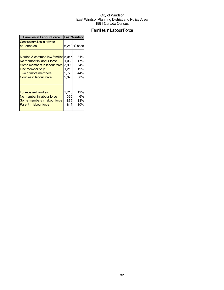## Families in Labour Force

| <b>Families in Labour Force</b>                                                                                                                                              | <b>East Windson</b>                       |                                        |  |
|------------------------------------------------------------------------------------------------------------------------------------------------------------------------------|-------------------------------------------|----------------------------------------|--|
| Census families in private<br>households                                                                                                                                     |                                           | 6,240 % base                           |  |
| Married & common-law families 5,045<br>No member in labour force<br>Some members in labour force<br>One member only<br>Two or more members<br><b>Couples in labour force</b> | 1,030<br>3,990<br>1,215<br>2,770<br>2,370 | 81%<br>17%<br>64%<br>19%<br>44%<br>38% |  |
| Lone-parent families<br>No member in labour force<br>Some members in labour force<br><b>Parent in labour force</b>                                                           | 1,210<br>365<br>835<br>615                | 19%<br>6%<br>13%<br>10%                |  |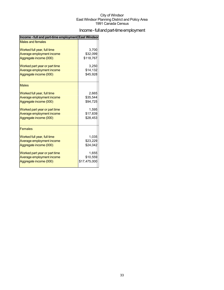## Income - full and part-time employment

| <b>Males and females</b><br>Worked full year, full time<br>3,700<br>\$32,099<br>Average employment income<br>\$118,767<br>Aggregate income (000)<br>Worked part year or part time<br>3.250<br>\$14,132<br>Average employment income<br>\$45,928<br>Aggregate income (000)<br><b>Males</b><br>Worked full year, full time<br>2,665<br>Average employment income<br>\$35,544<br>Aggregate income (000)<br>\$94,725<br>Worked part year or part time<br>1,595<br>\$17,839<br>Average employment income<br>\$28,453<br>Aggregate income (000)<br><b>Females</b><br>Worked full year, full time<br>1.035<br>Average employment income<br>\$23,229<br>Aggregate income (000)<br>\$24,042<br>Worked part year or part time<br>1,655<br>Average employment income<br>\$10,559<br>\$17,475,000<br>Aggregate income (000) | Income - full and part-time employment East Windsor |  |
|-----------------------------------------------------------------------------------------------------------------------------------------------------------------------------------------------------------------------------------------------------------------------------------------------------------------------------------------------------------------------------------------------------------------------------------------------------------------------------------------------------------------------------------------------------------------------------------------------------------------------------------------------------------------------------------------------------------------------------------------------------------------------------------------------------------------|-----------------------------------------------------|--|
|                                                                                                                                                                                                                                                                                                                                                                                                                                                                                                                                                                                                                                                                                                                                                                                                                 |                                                     |  |
|                                                                                                                                                                                                                                                                                                                                                                                                                                                                                                                                                                                                                                                                                                                                                                                                                 |                                                     |  |
|                                                                                                                                                                                                                                                                                                                                                                                                                                                                                                                                                                                                                                                                                                                                                                                                                 |                                                     |  |
|                                                                                                                                                                                                                                                                                                                                                                                                                                                                                                                                                                                                                                                                                                                                                                                                                 |                                                     |  |
|                                                                                                                                                                                                                                                                                                                                                                                                                                                                                                                                                                                                                                                                                                                                                                                                                 |                                                     |  |
|                                                                                                                                                                                                                                                                                                                                                                                                                                                                                                                                                                                                                                                                                                                                                                                                                 |                                                     |  |
|                                                                                                                                                                                                                                                                                                                                                                                                                                                                                                                                                                                                                                                                                                                                                                                                                 |                                                     |  |
|                                                                                                                                                                                                                                                                                                                                                                                                                                                                                                                                                                                                                                                                                                                                                                                                                 |                                                     |  |
|                                                                                                                                                                                                                                                                                                                                                                                                                                                                                                                                                                                                                                                                                                                                                                                                                 |                                                     |  |
|                                                                                                                                                                                                                                                                                                                                                                                                                                                                                                                                                                                                                                                                                                                                                                                                                 |                                                     |  |
|                                                                                                                                                                                                                                                                                                                                                                                                                                                                                                                                                                                                                                                                                                                                                                                                                 |                                                     |  |
|                                                                                                                                                                                                                                                                                                                                                                                                                                                                                                                                                                                                                                                                                                                                                                                                                 |                                                     |  |
|                                                                                                                                                                                                                                                                                                                                                                                                                                                                                                                                                                                                                                                                                                                                                                                                                 |                                                     |  |
|                                                                                                                                                                                                                                                                                                                                                                                                                                                                                                                                                                                                                                                                                                                                                                                                                 |                                                     |  |
|                                                                                                                                                                                                                                                                                                                                                                                                                                                                                                                                                                                                                                                                                                                                                                                                                 |                                                     |  |
|                                                                                                                                                                                                                                                                                                                                                                                                                                                                                                                                                                                                                                                                                                                                                                                                                 |                                                     |  |
|                                                                                                                                                                                                                                                                                                                                                                                                                                                                                                                                                                                                                                                                                                                                                                                                                 |                                                     |  |
|                                                                                                                                                                                                                                                                                                                                                                                                                                                                                                                                                                                                                                                                                                                                                                                                                 |                                                     |  |
|                                                                                                                                                                                                                                                                                                                                                                                                                                                                                                                                                                                                                                                                                                                                                                                                                 |                                                     |  |
|                                                                                                                                                                                                                                                                                                                                                                                                                                                                                                                                                                                                                                                                                                                                                                                                                 |                                                     |  |
|                                                                                                                                                                                                                                                                                                                                                                                                                                                                                                                                                                                                                                                                                                                                                                                                                 |                                                     |  |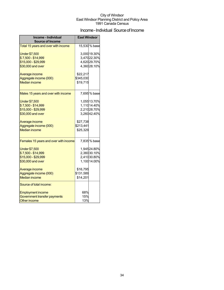## Income - Individual Source of Income

| Income - Individual<br><b>Source of Income</b> | <b>East Windsor</b> |               |
|------------------------------------------------|---------------------|---------------|
| Total 15 years and over with income            |                     | 15,530 % base |
|                                                |                     |               |
| <b>Under \$7,500</b>                           |                     | 3,00019.30%   |
| \$7,500 - \$14,999                             |                     | 3,47022.30%   |
| \$15,000 - \$29,999                            |                     | 4,62029.70%   |
| \$30,000 and over                              |                     | 4,36028.10%   |
| Average income                                 | \$22,217            |               |
| Aggregate income (000)                         | \$345,030           |               |
| <b>Median income</b>                           | \$19,715            |               |
|                                                |                     |               |
| Males 15 years and over with income            |                     | 7,695% base   |
| <b>Under \$7,500</b>                           |                     | 1,05513.70%   |
| \$7,500 - \$14,999                             |                     | 1,11014.40%   |
| \$15,000 - \$29,999                            |                     | 2,21028.70%   |
| \$30,000 and over                              |                     | 3,26042.40%   |
|                                                |                     |               |
| Average income                                 | \$27,738            |               |
| Aggregate income (000)                         | \$213,441           |               |
| <b>Median income</b>                           | \$25,329            |               |
| Females 15 years and over with income          |                     | 7,835% base   |
| <b>Under \$7,500</b>                           |                     | 1,94524.80%   |
| \$7,500 - \$14,999                             |                     | 2,36030.10%   |
| \$15,000 - \$29,999                            |                     | 2,41030.80%   |
| \$30,000 and over                              |                     | 1,100 14.00%  |
| Average income                                 | \$16,795            |               |
| Aggregate income (000)                         | \$131,589           |               |
| <b>Median income</b>                           | \$14,201            |               |
| Source of total income:                        |                     |               |
| <b>Employment income</b>                       | 68%                 |               |
| Government transfer payments                   | 15%                 |               |
| <b>Other income</b>                            | 13%                 |               |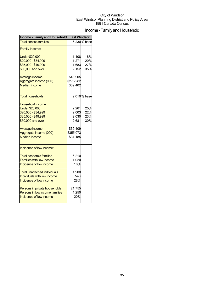## Income - Family and Household

| Income - Family and Household                                                                                                                                                                                                                                                                                    | <b>East Windsor</b>                                                    |                          |  |
|------------------------------------------------------------------------------------------------------------------------------------------------------------------------------------------------------------------------------------------------------------------------------------------------------------------|------------------------------------------------------------------------|--------------------------|--|
| <b>Total census families</b>                                                                                                                                                                                                                                                                                     |                                                                        | 6,230 % base             |  |
| <b>Family Income:</b>                                                                                                                                                                                                                                                                                            |                                                                        |                          |  |
| <b>Under \$20,000</b><br>\$20,000 - \$34,999<br>\$35,000 - \$49,999                                                                                                                                                                                                                                              | 1,108<br>1,271<br>1,683                                                | 18%<br>20%<br>27%        |  |
| \$50,000 and over                                                                                                                                                                                                                                                                                                | 2,152                                                                  | 35%                      |  |
| Average income<br>Aggregate income (000)<br><b>Median income</b>                                                                                                                                                                                                                                                 | \$43,905<br>\$275,282<br>\$39,402                                      |                          |  |
| <b>Total households</b>                                                                                                                                                                                                                                                                                          |                                                                        | 9,010 % base             |  |
| Household Income:<br><b>Under \$20,000</b><br>\$20,000 - \$34,999<br>\$35,000 - \$49,999<br>\$50,000 and over<br>Average income<br>Aggregate income (000)<br><b>Median income</b>                                                                                                                                | 2,261<br>2,003<br>2,030<br>2,681<br>\$39,409<br>\$355,073<br>\$34,185  | 25%<br>22%<br>23%<br>30% |  |
| Incidence of low income:<br><b>Total economic families</b><br><b>Families with low income</b><br>Incidence of low income<br>Total unattached individuals<br>Individuals with low income<br>Incidence of low income<br>Persons in private households<br>Persons in low income families<br>Incidence of low income | 6,210<br>1,020<br>16%<br>1,900<br>540<br>28%<br>21,755<br>4,250<br>20% |                          |  |